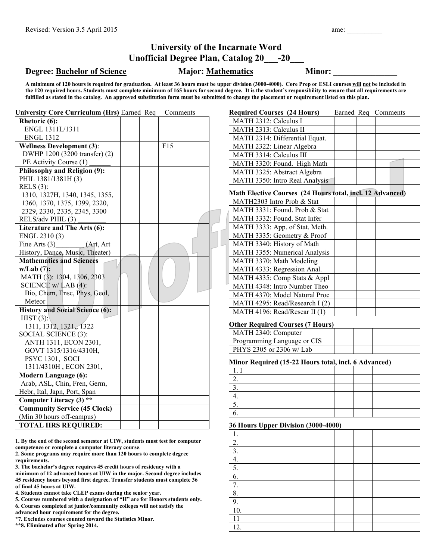## **University of the Incarnate Word Unofficial Degree Plan, Catalog 20\_\_\_-20\_\_\_**

## **Degree: <u>Bachelor of Science</u> Major: <u>Mathematics</u> Minor:**

**A minimum of 120 hours is required for graduation. At least 36 hours must be upper division (3000-4000). Core Prep or ESLI courses will not be included in the 120 required hours. Students must complete minimum of 165 hours for second degree. It is the student's responsibility to ensure that all requirements are**  fulfilled as stated in the catalog. An approved substitution form must be submitted to change the placement or requirement listed on this plan.

| <b>University Core Curriculum (Hrs) Earned Req</b> |  | Comments | <b>Required Courses (24 Hours)</b>                        |  | Earned Req Comments |
|----------------------------------------------------|--|----------|-----------------------------------------------------------|--|---------------------|
| Rhetoric (6):                                      |  |          | MATH 2312: Calculus I                                     |  |                     |
| ENGL 1311L/1311                                    |  |          | MATH 2313: Calculus II                                    |  |                     |
| <b>ENGL 1312</b>                                   |  |          | MATH 2314: Differential Equat.                            |  |                     |
| <b>Wellness Development (3):</b>                   |  | F15      | MATH 2322: Linear Algebra                                 |  |                     |
| DWHP 1200 (3200 transfer) (2)                      |  |          | MATH 3314: Calculus III                                   |  |                     |
| PE Activity Course (1)                             |  |          | MATH 3320: Found. High Math                               |  |                     |
| Philosophy and Religion (9):                       |  |          | MATH 3325: Abstract Algebra                               |  |                     |
| PHIL 1381/1381H (3)                                |  |          | MATH 3350: Intro Real Analysis                            |  |                     |
| RELS $(3)$ :                                       |  |          |                                                           |  |                     |
| 1310, 1327H, 1340, 1345, 1355,                     |  |          | Math Elective Courses (24 Hours total, incl. 12 Advanced) |  |                     |
| 1360, 1370, 1375, 1399, 2320,                      |  |          | MATH2303 Intro Prob & Stat                                |  |                     |
| 2329, 2330, 2335, 2345, 3300                       |  |          | MATH 3331: Found. Prob & Stat                             |  |                     |
| RELS/adv PHIL (3)                                  |  |          | MATH 3332: Found. Stat Infer                              |  |                     |
| Literature and The Arts (6):                       |  |          | MATH 3333: App. of Stat. Meth.                            |  |                     |
| ENGL 2310(3)                                       |  |          | MATH 3335: Geometry & Proof                               |  |                     |
| Fine Arts $(3)$<br>(Art, Art                       |  |          | MATH 3340: History of Math                                |  |                     |
| History, Dance, Music, Theater)                    |  |          | MATH 3355: Numerical Analysis                             |  |                     |
| <b>Mathematics and Sciences</b>                    |  |          | MATH 3370: Math Modeling                                  |  |                     |
| $w/Lab(7)$ :                                       |  |          | MATH 4333: Regression Anal.                               |  |                     |
| MATH (3): 1304, 1306, 2303                         |  |          | MATH 4335: Comp Stats & Appl                              |  |                     |
| SCIENCE $w/LAB(4)$ :                               |  |          | MATH 4348: Intro Number Theo                              |  |                     |
| Bio, Chem, Ensc, Phys, Geol,                       |  |          | MATH 4370: Model Natural Proc                             |  |                     |
| Meteor                                             |  |          | MATH 4295: Read/Research I (2)                            |  |                     |
| <b>History and Social Science (6):</b>             |  |          | MATH 4196: Read/Resear II (1)                             |  |                     |
| HIST $(3)$ :                                       |  |          |                                                           |  |                     |
| 1311, 1312, 1321, 1322                             |  |          | <b>Other Required Courses (7 Hours)</b>                   |  |                     |
| SOCIAL SCIENCE (3):                                |  |          | MATH 2340: Computer                                       |  |                     |
| ANTH 1311, ECON 2301,                              |  |          | Programming Language or CIS                               |  |                     |
| GOVT 1315/1316/4310H,                              |  |          | PHYS 2305 or 2306 w/ Lab                                  |  |                     |
| PSYC 1301, SOCI                                    |  |          | Minor Required (15-22 Hours total, incl. 6 Advanced)      |  |                     |
| 1311/4310H, ECON 2301,                             |  |          | 1.1                                                       |  |                     |
| <b>Modern Language (6):</b>                        |  |          | $\overline{2}$ .                                          |  |                     |
| Arab, ASL, Chin, Fren, Germ,                       |  |          | $\overline{3}$ .                                          |  |                     |
| Hebr, Ital, Japn, Port, Span                       |  |          | $\overline{4}$ .                                          |  |                     |
| Computer Literacy (3) **                           |  |          | $\overline{5}$ .                                          |  |                     |
| <b>Community Service (45 Clock)</b>                |  |          | 6.                                                        |  |                     |
| (Min 30 hours off-campus)                          |  |          |                                                           |  |                     |
| <b>TOTAL HRS REQUIRED:</b>                         |  |          | 36 Hours Upper Division (3000-4000)                       |  |                     |
|                                                    |  |          | $\overline{1}$                                            |  |                     |

2. 3. 4. 5. 6. 7. 8. 9. 10. 11 12.

**1. By the end of the second semester at UIW, students must test for computer competence or complete a computer literacy course**.

**2. Some programs may require more than 120 hours to complete degree requirements.** 

**3. The bachelor's degree requires 45 credit hours of residency with a minimum of 12 advanced hours at UIW in the major. Second degree includes 45 residency hours beyond first degree. Transfer students must complete 36 of final 45 hours at UIW.**

**4. Students cannot take CLEP exams during the senior year.**

**5. Courses numbered with a designation of "H" are for Honors students only.** 

**6. Courses completed at junior/community colleges will not satisfy the** 

**advanced hour requirement for the degree.** 

**\*7. Excludes courses counted toward the Statistics Minor.**

**\*\*8. Eliminated after Spring 2014.**